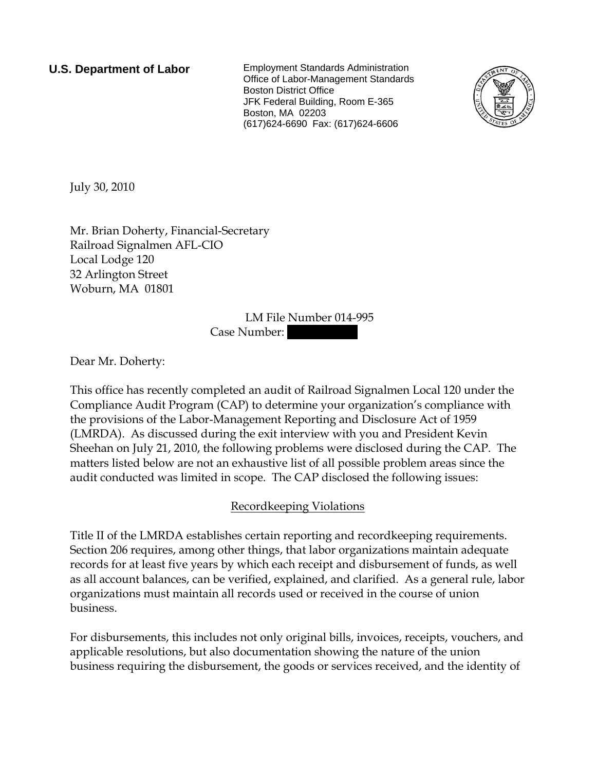**U.S. Department of Labor** Employment Standards Administration Office of Labor-Management Standards Boston District Office JFK Federal Building, Room E-365 Boston, MA 02203 (617)624-6690 Fax: (617)624-6606



July 30, 2010

Mr. Brian Doherty, Financial-Secretary Railroad Signalmen AFL-CIO Local Lodge 120 32 Arlington Street Woburn, MA 01801

> LM File Number 014-995 Case Number:

Dear Mr. Doherty:

This office has recently completed an audit of Railroad Signalmen Local 120 under the Compliance Audit Program (CAP) to determine your organization's compliance with the provisions of the Labor-Management Reporting and Disclosure Act of 1959 (LMRDA). As discussed during the exit interview with you and President Kevin Sheehan on July 21, 2010, the following problems were disclosed during the CAP. The matters listed below are not an exhaustive list of all possible problem areas since the audit conducted was limited in scope. The CAP disclosed the following issues:

## Recordkeeping Violations

Title II of the LMRDA establishes certain reporting and recordkeeping requirements. Section 206 requires, among other things, that labor organizations maintain adequate records for at least five years by which each receipt and disbursement of funds, as well as all account balances, can be verified, explained, and clarified. As a general rule, labor organizations must maintain all records used or received in the course of union business.

For disbursements, this includes not only original bills, invoices, receipts, vouchers, and applicable resolutions, but also documentation showing the nature of the union business requiring the disbursement, the goods or services received, and the identity of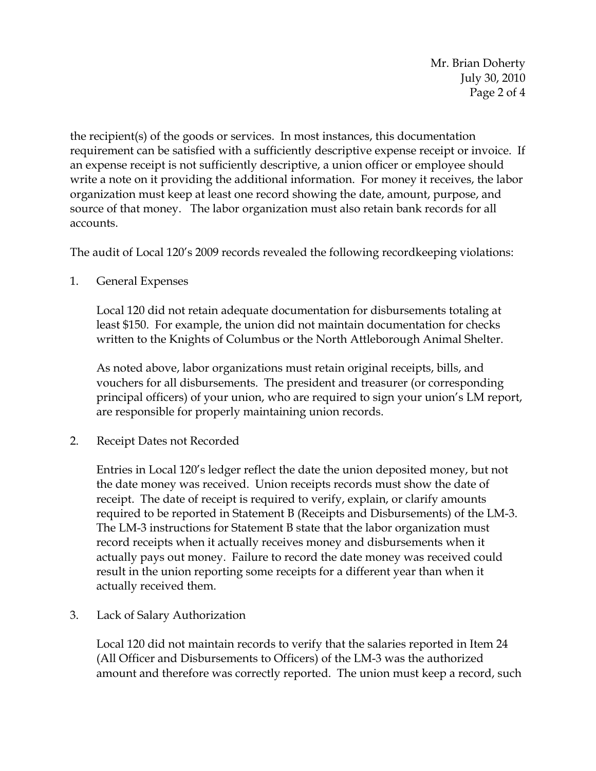Mr. Brian Doherty July 30, 2010 Page 2 of 4

the recipient(s) of the goods or services. In most instances, this documentation requirement can be satisfied with a sufficiently descriptive expense receipt or invoice. If an expense receipt is not sufficiently descriptive, a union officer or employee should write a note on it providing the additional information. For money it receives, the labor organization must keep at least one record showing the date, amount, purpose, and source of that money. The labor organization must also retain bank records for all accounts.

The audit of Local 120's 2009 records revealed the following recordkeeping violations:

1. General Expenses

Local 120 did not retain adequate documentation for disbursements totaling at least \$150. For example, the union did not maintain documentation for checks written to the Knights of Columbus or the North Attleborough Animal Shelter.

As noted above, labor organizations must retain original receipts, bills, and vouchers for all disbursements. The president and treasurer (or corresponding principal officers) of your union, who are required to sign your union's LM report, are responsible for properly maintaining union records.

2. Receipt Dates not Recorded

Entries in Local 120's ledger reflect the date the union deposited money, but not the date money was received. Union receipts records must show the date of receipt. The date of receipt is required to verify, explain, or clarify amounts required to be reported in Statement B (Receipts and Disbursements) of the LM-3. The LM-3 instructions for Statement B state that the labor organization must record receipts when it actually receives money and disbursements when it actually pays out money. Failure to record the date money was received could result in the union reporting some receipts for a different year than when it actually received them.

3. Lack of Salary Authorization

Local 120 did not maintain records to verify that the salaries reported in Item 24 (All Officer and Disbursements to Officers) of the LM-3 was the authorized amount and therefore was correctly reported. The union must keep a record, such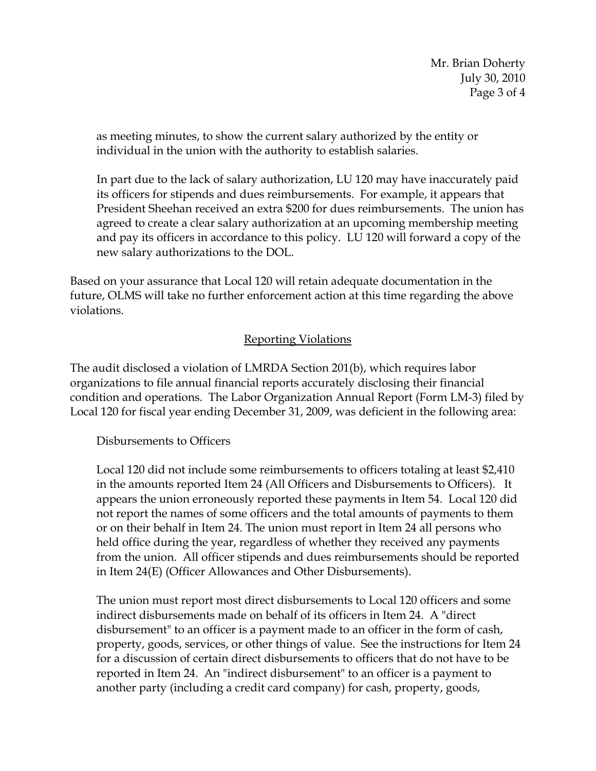Mr. Brian Doherty July 30, 2010 Page 3 of 4

as meeting minutes, to show the current salary authorized by the entity or individual in the union with the authority to establish salaries.

In part due to the lack of salary authorization, LU 120 may have inaccurately paid its officers for stipends and dues reimbursements. For example, it appears that President Sheehan received an extra \$200 for dues reimbursements. The union has agreed to create a clear salary authorization at an upcoming membership meeting and pay its officers in accordance to this policy. LU 120 will forward a copy of the new salary authorizations to the DOL.

Based on your assurance that Local 120 will retain adequate documentation in the future, OLMS will take no further enforcement action at this time regarding the above violations.

### Reporting Violations

The audit disclosed a violation of LMRDA Section 201(b), which requires labor organizations to file annual financial reports accurately disclosing their financial condition and operations. The Labor Organization Annual Report (Form LM-3) filed by Local 120 for fiscal year ending December 31, 2009, was deficient in the following area:

#### Disbursements to Officers

Local 120 did not include some reimbursements to officers totaling at least \$2,410 in the amounts reported Item 24 (All Officers and Disbursements to Officers). It appears the union erroneously reported these payments in Item 54. Local 120 did not report the names of some officers and the total amounts of payments to them or on their behalf in Item 24. The union must report in Item 24 all persons who held office during the year, regardless of whether they received any payments from the union. All officer stipends and dues reimbursements should be reported in Item 24(E) (Officer Allowances and Other Disbursements).

The union must report most direct disbursements to Local 120 officers and some indirect disbursements made on behalf of its officers in Item 24. A "direct disbursement" to an officer is a payment made to an officer in the form of cash, property, goods, services, or other things of value. See the instructions for Item 24 for a discussion of certain direct disbursements to officers that do not have to be reported in Item 24. An "indirect disbursement" to an officer is a payment to another party (including a credit card company) for cash, property, goods,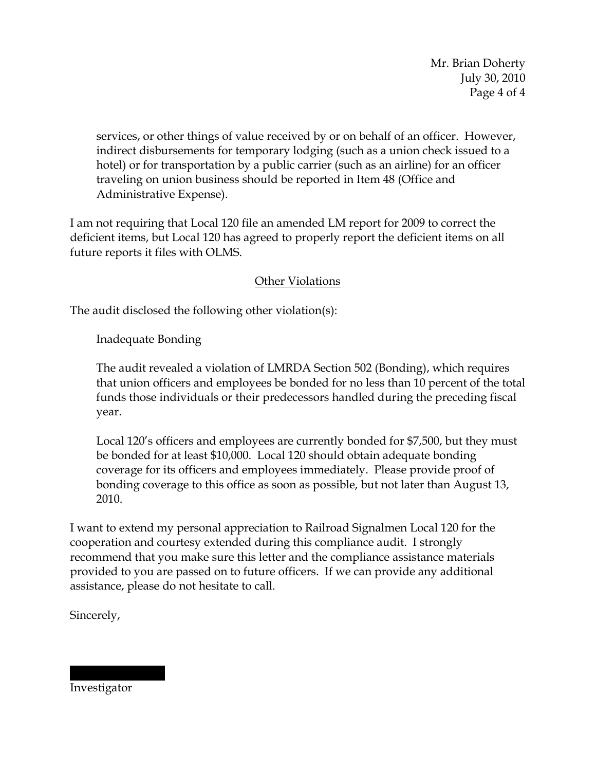Mr. Brian Doherty July 30, 2010 Page 4 of 4

services, or other things of value received by or on behalf of an officer. However, indirect disbursements for temporary lodging (such as a union check issued to a hotel) or for transportation by a public carrier (such as an airline) for an officer traveling on union business should be reported in Item 48 (Office and Administrative Expense).

I am not requiring that Local 120 file an amended LM report for 2009 to correct the deficient items, but Local 120 has agreed to properly report the deficient items on all future reports it files with OLMS.

# Other Violations

The audit disclosed the following other violation(s):

Inadequate Bonding

The audit revealed a violation of LMRDA Section 502 (Bonding), which requires that union officers and employees be bonded for no less than 10 percent of the total funds those individuals or their predecessors handled during the preceding fiscal year.

Local 120's officers and employees are currently bonded for \$7,500, but they must be bonded for at least \$10,000. Local 120 should obtain adequate bonding coverage for its officers and employees immediately. Please provide proof of bonding coverage to this office as soon as possible, but not later than August 13, 2010.

I want to extend my personal appreciation to Railroad Signalmen Local 120 for the cooperation and courtesy extended during this compliance audit. I strongly recommend that you make sure this letter and the compliance assistance materials provided to you are passed on to future officers. If we can provide any additional assistance, please do not hesitate to call.

Sincerely,

Investigator

|||||| |||||||